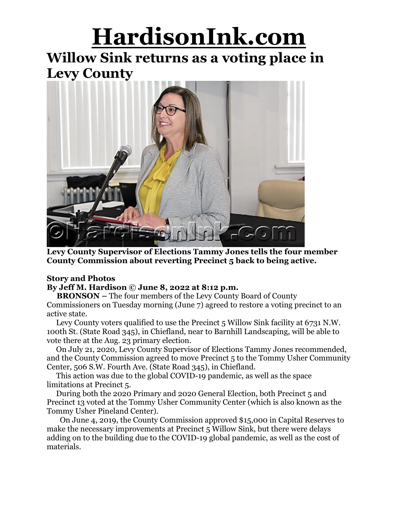## **HardisonInk.com**

### **Willow Sink returns as a voting place in Levy County**



**Levy County Supervisor of Elections Tammy Jones tells the four member County Commission about reverting Precinct 5 back to being active.**

#### **Story and Photos**

#### **By Jeff M. Hardison © June 8, 2022 at 8:12 p.m.**

**BRONSON –** The four members of the Levy County Board of County Commissioners on Tuesday morning (June 7) agreed to restore a voting precinct to an active state.

Levy County voters qualified to use the Precinct 5 Willow Sink facility at 6731 N.W. 100th St. (State Road 345), in Chiefland, near to Barnhill Landscaping, will be able to vote there at the Aug. 23 primary election.

On July 21, 2020, Levy County Supervisor of Elections Tammy Jones recommended, and the County Commission agreed to move Precinct 5 to the Tommy Usher Community Center, 506 S.W. Fourth Ave. (State Road 345), in Chiefland.

This action was due to the global COVID-19 pandemic, as well as the space limitations at Precinct 5.

During both the 2020 Primary and 2020 General Election, both Precinct 5 and Precinct 13 voted at the Tommy Usher Community Center (which is also known as the Tommy Usher Pineland Center).

On June 4, 2019, the County Commission approved \$15,000 in Capital Reserves to make the necessary improvements at Precinct 5 Willow Sink, but there were delays adding on to the building due to the COVID-19 global pandemic, as well as the cost of materials.